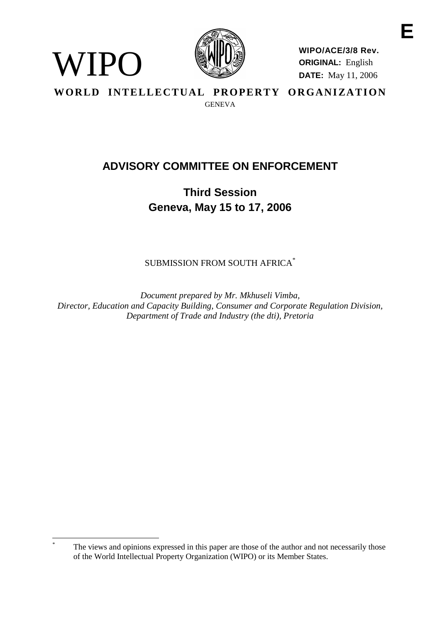

WIPO

**WIPO/ACE/3/8 Rev. ORIGINAL:** English **DATE:** May 11, 2006

WORLD INTELLECTUAL PROPERTY ORGANIZATION **GENEVA** 

# **ADVISORY COMMITTEE ON ENFORCEMENT**

**Third Session Geneva, May 15 to 17, 2006**

SUBMISSION FROM SOUTH AFRICA\*

*Document prepared by Mr. Mkhuseli Vimba, Director, Education and Capacity Building, Consumer and Corporate Regulation Division, Department of Trade and Industry (the dti), Pretoria*

The views and opinions expressed in this paper are those of the author and not necessarily those of the World Intellectual Property Organization (WIPO) or its Member States.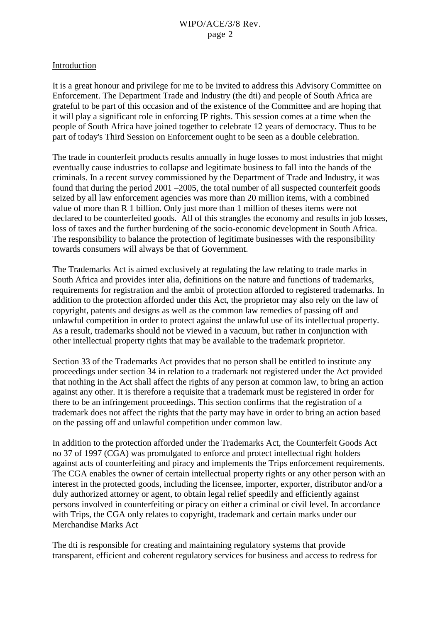## WIPO/ACE/3/8 Rev. page 2

#### Introduction

It is a great honour and privilege for me to be invited to address this Advisory Committee on Enforcement. The Department Trade and Industry (the dti) and people of South Africa are grateful to be part of this occasion and of the existence of the Committee and are hoping that it will play a significant role in enforcing IP rights. This session comes at a time when the people of South Africa have joined together to celebrate 12 years of democracy. Thus to be part of today's Third Session on Enforcement ought to be seen as a double celebration.

The trade in counterfeit products results annually in huge losses to most industries that might eventually cause industries to collapse and legitimate business to fall into the hands of the criminals. In a recent survey commissioned by the Department of Trade and Industry, it was found that during the period 2001 –2005, the total number of all suspected counterfeit goods seized by all law enforcement agencies was more than 20 million items, with a combined value of more than R 1 billion. Only just more than 1 million of theses items were not declared to be counterfeited goods. All of this strangles the economy and results in job losses, loss of taxes and the further burdening of the socio-economic development in South Africa. The responsibility to balance the protection of legitimate businesses with the responsibility towards consumers will always be that of Government.

The Trademarks Act is aimed exclusively at regulating the law relating to trade marks in South Africa and provides inter alia, definitions on the nature and functions of trademarks, requirements for registration and the ambit of protection afforded to registered trademarks. In addition to the protection afforded under this Act, the proprietor may also rely on the law of copyright, patents and designs as well as the common law remedies of passing off and unlawful competition in order to protect against the unlawful use of its intellectual property. As a result, trademarks should not be viewed in a vacuum, but rather in conjunction with other intellectual property rights that may be available to the trademark proprietor.

Section 33 of the Trademarks Act provides that no person shall be entitled to institute any proceedings under section 34 in relation to a trademark not registered under the Act provided that nothing in the Act shall affect the rights of any person at common law, to bring an action against any other. It is therefore a requisite that a trademark must be registered in order for there to be an infringement proceedings. This section confirms that the registration of a trademark does not affect the rights that the party may have in order to bring an action based on the passing off and unlawful competition under common law.

In addition to the protection afforded under the Trademarks Act, the Counterfeit Goods Act no 37 of 1997 (CGA) was promulgated to enforce and protect intellectual right holders against acts of counterfeiting and piracy and implements the Trips enforcement requirements. The CGA enables the owner of certain intellectual property rights or any other person with an interest in the protected goods, including the licensee, importer, exporter, distributor and/or a duly authorized attorney or agent, to obtain legal relief speedily and efficiently against persons involved in counterfeiting or piracy on either a criminal or civil level. In accordance with Trips, the CGA only relates to copyright, trademark and certain marks under our Merchandise Marks Act

The dti is responsible for creating and maintaining regulatory systems that provide transparent, efficient and coherent regulatory services for business and access to redress for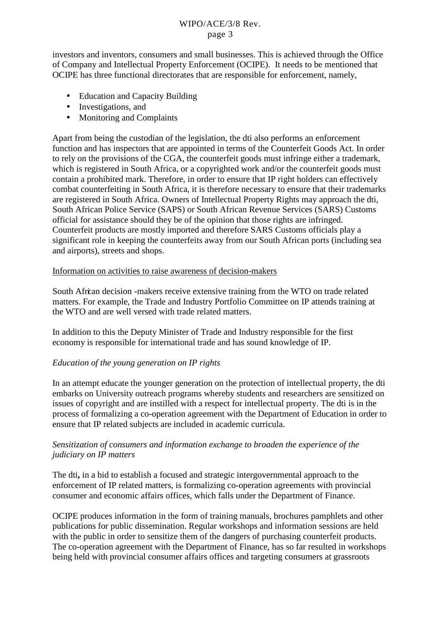#### WIPO/ACE/3/8 Rev. page 3

investors and inventors, consumers and small businesses. This is achieved through the Office of Company and Intellectual Property Enforcement (OCIPE). It needs to be mentioned that OCIPE has three functional directorates that are responsible for enforcement, namely,

- Education and Capacity Building
- Investigations, and
- Monitoring and Complaints

Apart from being the custodian of the legislation, the dti also performs an enforcement function and has inspectors that are appointed in terms of the Counterfeit Goods Act. In order to rely on the provisions of the CGA, the counterfeit goods must infringe either a trademark, which is registered in South Africa, or a copyrighted work and/or the counterfeit goods must contain a prohibited mark. Therefore, in order to ensure that IP right holders can effectively combat counterfeiting in South Africa, it is therefore necessary to ensure that their trademarks are registered in South Africa. Owners of Intellectual Property Rights may approach the dti, South African Police Service (SAPS) or South African Revenue Services (SARS) Customs official for assistance should they be of the opinion that those rights are infringed. Counterfeit products are mostly imported and therefore SARS Customs officials play a significant role in keeping the counterfeits away from our South African ports (including sea and airports), streets and shops.

#### Information on activities to raise awareness of decision-makers

South African decision -makers receive extensive training from the WTO on trade related matters. For example, the Trade and Industry Portfolio Committee on IP attends training at the WTO and are well versed with trade related matters.

In addition to this the Deputy Minister of Trade and Industry responsible for the first economy is responsible for international trade and has sound knowledge of IP.

## *Education of the young generation on IP rights*

In an attempt educate the younger generation on the protection of intellectual property, the dti embarks on University outreach programs whereby students and researchers are sensitized on issues of copyright and are instilled with a respect for intellectual property. The dti is in the process of formalizing a co-operation agreement with the Department of Education in order to ensure that IP related subjects are included in academic curricula.

## *Sensitization of consumers and information exchange to broaden the experience of the judiciary on IP matters*

The dti, in a bid to establish a focused and strategic intergovernmental approach to the enforcement of IP related matters, is formalizing co-operation agreements with provincial consumer and economic affairs offices, which falls under the Department of Finance.

OCIPE produces information in the form of training manuals, brochures pamphlets and other publications for public dissemination. Regular workshops and information sessions are held with the public in order to sensitize them of the dangers of purchasing counterfeit products. The co-operation agreement with the Department of Finance, has so far resulted in workshops being held with provincial consumer affairs offices and targeting consumers at grassroots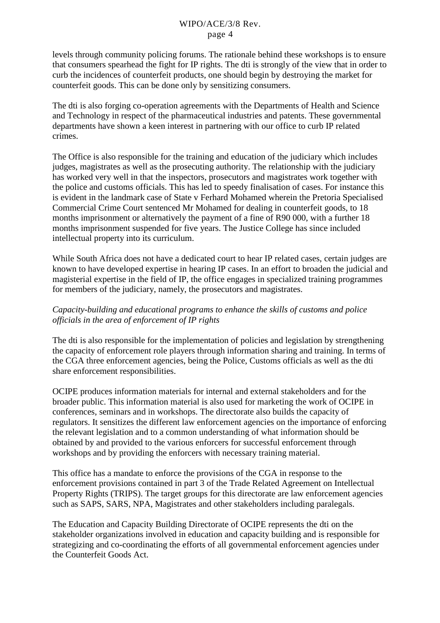levels through community policing forums. The rationale behind these workshops is to ensure that consumers spearhead the fight for IP rights. The dti is strongly of the view that in order to curb the incidences of counterfeit products, one should begin by destroying the market for counterfeit goods. This can be done only by sensitizing consumers.

The dti is also forging co-operation agreements with the Departments of Health and Science and Technology in respect of the pharmaceutical industries and patents. These governmental departments have shown a keen interest in partnering with our office to curb IP related crimes.

The Office is also responsible for the training and education of the judiciary which includes judges, magistrates as well as the prosecuting authority. The relationship with the judiciary has worked very well in that the inspectors, prosecutors and magistrates work together with the police and customs officials. This has led to speedy finalisation of cases. For instance this is evident in the landmark case of State v Ferhard Mohamed wherein the Pretoria Specialised Commercial Crime Court sentenced Mr Mohamed for dealing in counterfeit goods, to 18 months imprisonment or alternatively the payment of a fine of R90 000, with a further 18 months imprisonment suspended for five years. The Justice College has since included intellectual property into its curriculum.

While South Africa does not have a dedicated court to hear IP related cases, certain judges are known to have developed expertise in hearing IP cases. In an effort to broaden the judicial and magisterial expertise in the field of IP, the office engages in specialized training programmes for members of the judiciary, namely, the prosecutors and magistrates.

# *Capacity-building and educational programs to enhance the skills of customs and police officials in the area of enforcement of IP rights*

The dti is also responsible for the implementation of policies and legislation by strengthening the capacity of enforcement role players through information sharing and training. In terms of the CGA three enforcement agencies, being the Police, Customs officials as well as the dti share enforcement responsibilities.

OCIPE produces information materials for internal and external stakeholders and for the broader public. This information material is also used for marketing the work of OCIPE in conferences, seminars and in workshops. The directorate also builds the capacity of regulators. It sensitizes the different law enforcement agencies on the importance of enforcing the relevant legislation and to a common understanding of what information should be obtained by and provided to the various enforcers for successful enforcement through workshops and by providing the enforcers with necessary training material.

This office has a mandate to enforce the provisions of the CGA in response to the enforcement provisions contained in part 3 of the Trade Related Agreement on Intellectual Property Rights (TRIPS). The target groups for this directorate are law enforcement agencies such as SAPS, SARS, NPA, Magistrates and other stakeholders including paralegals.

The Education and Capacity Building Directorate of OCIPE represents the dti on the stakeholder organizations involved in education and capacity building and is responsible for strategizing and co-coordinating the efforts of all governmental enforcement agencies under the Counterfeit Goods Act.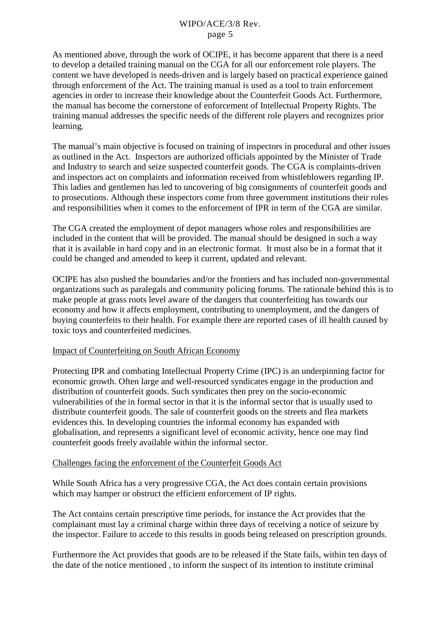#### WIPO/ACE/3/8 Rev. page 5

As mentioned above, through the work of OCIPE, it has become apparent that there is a need to develop a detailed training manual on the CGA for all our enforcement role players. The content we have developed is needs-driven and is largely based on practical experience gained through enforcement of the Act. The training manual is used as a tool to train enforcement agencies in order to increase their knowledge about the Counterfeit Goods Act. Furthermore, the manual has become the cornerstone of enforcement of Intellectual Property Rights. The training manual addresses the specific needs of the different role players and recognizes prior learning.

The manual's main objective is focused on training of inspectors in procedural and other issues as outlined in the Act. Inspectors are authorized officials appointed by the Minister of Trade and Industry to search and seize suspected counterfeit goods. The CGA is complaints-driven and inspectors act on complaints and information received from whistleblowers regarding IP. This ladies and gentlemen has led to uncovering of big consignments of counterfeit goods and to prosecutions. Although these inspectors come from three government institutions their roles and responsibilities when it comes to the enforcement of IPR in term of the CGA are similar.

The CGA created the employment of depot managers whose roles and responsibilities are included in the content that will be provided. The manual should be designed in such a way that it is available in hard copy and in an electronic format. It must also be in a format that it could be changed and amended to keep it current, updated and relevant.

OCIPE has also pushed the boundaries and/or the frontiers and has included non-governmental organizations such as paralegals and community policing forums. The rationale behind this is to make people at grass roots level aware of the dangers that counterfeiting has towards our economy and how it affects employment, contributing to unemployment, and the dangers of buying counterfeits to their health. For example there are reported cases of ill health caused by toxic toys and counterfeited medicines.

## Impact of Counterfeiting on South African Economy

Protecting IPR and combating Intellectual Property Crime (IPC) is an underpinning factor for economic growth. Often large and well-resourced syndicates engage in the production and distribution of counterfeit goods. Such syndicates then prey on the socio-economic vulnerabilities of the in formal sector in that it is the informal sector that is usually used to distribute counterfeit goods. The sale of counterfeit goods on the streets and flea markets evidences this. In developing countries the informal economy has expanded with globalisation, and represents a significant level of economic activity, hence one may find counterfeit goods freely available within the informal sector.

#### Challenges facing the enforcement of the Counterfeit Goods Act

While South Africa has a very progressive CGA, the Act does contain certain provisions which may hamper or obstruct the efficient enforcement of IP rights.

The Act contains certain prescriptive time periods, for instance the Act provides that the complainant must lay a criminal charge within three days of receiving a notice of seizure by the inspector. Failure to accede to this results in goods being released on prescription grounds.

Furthermore the Act provides that goods are to be released if the State fails, within ten days of the date of the notice mentioned , to inform the suspect of its intention to institute criminal